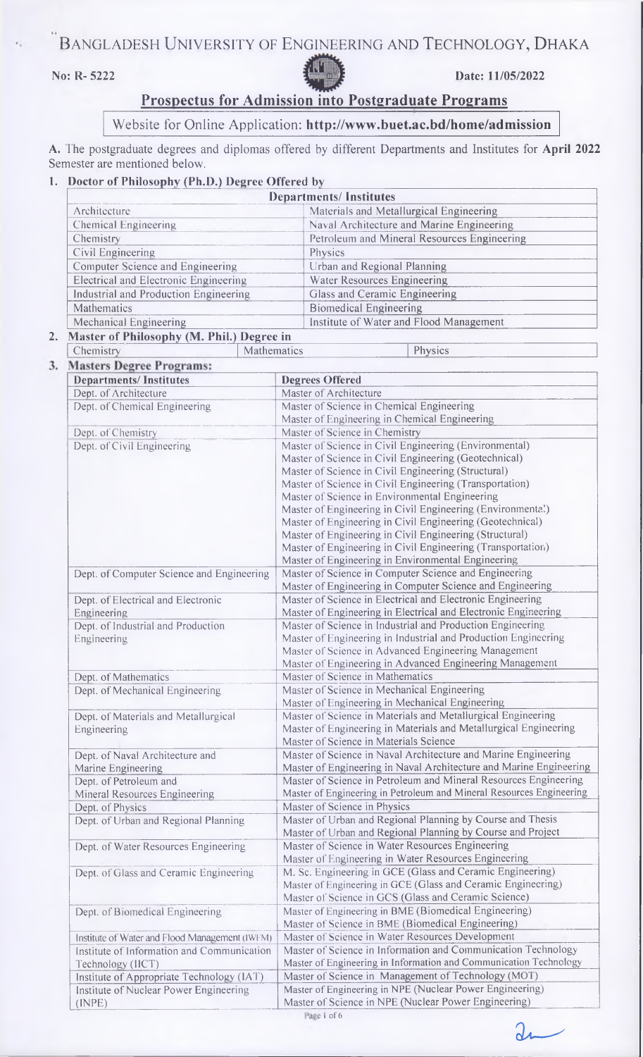# BANGLADESH UNIVERSITY OF ENGINEERING AND TECHNOLOGY, DHAKA



**No: R- 5222 Date: 11/05/2022**

# **Prospectus for Admission into Postgraduate Programs**

# Website for Online Application: **<http://www.buet.ac.bd/home/admission>**

**A.** The postgraduate degrees and diplomas offered by different Departments and Institutes for **April 2022** Semester are mentioned below.

## **1. Doctor of Philosophy (Ph.D.) Degree Offered by**

| <b>Departments/Institutes</b>                                                            |                                             |
|------------------------------------------------------------------------------------------|---------------------------------------------|
| Architecture                                                                             | Materials and Metallurgical Engineering     |
| Chemical Engineering                                                                     | Naval Architecture and Marine Engineering   |
| Chemistry                                                                                | Petroleum and Mineral Resources Engineering |
| Civil Engineering                                                                        | Physics                                     |
| Computer Science and Engineering                                                         | Urban and Regional Planning                 |
| Electrical and Electronic Engineering                                                    | Water Resources Engineering                 |
| Industrial and Production Engineering                                                    | Glass and Ceramic Engineering               |
| Mathematics                                                                              | <b>Biomedical Engineering</b>               |
| Mechanical Engineering                                                                   | Institute of Water and Flood Management     |
| $M \rightarrow \mathbb{C}$ DL 21 $\rightarrow \mathbb{C}$ DL 21 $\rightarrow \mathbb{C}$ |                                             |

**2. Master of Philosophy (M. Phil.) Degree in**<br> **Chemistry** Mathemati

3.

**F** Chemistry **Mathematics Physics Physics Mathematics Physics** 

| <b>Departments/Institutes</b>                  | <b>Degrees Offered</b>                                               |
|------------------------------------------------|----------------------------------------------------------------------|
| Dept. of Architecture                          | Master of Architecture                                               |
| Dept. of Chemical Engineering                  | Master of Science in Chemical Engineering                            |
|                                                | Master of Engineering in Chemical Engineering                        |
| Dept. of Chemistry                             | Master of Science in Chemistry                                       |
| Dept. of Civil Engineering                     | Master of Science in Civil Engineering (Environmental)               |
|                                                | Master of Science in Civil Engineering (Geotechnical)                |
|                                                | Master of Science in Civil Engineering (Structural)                  |
|                                                | Master of Science in Civil Engineering (Transportation)              |
|                                                | Master of Science in Environmental Engineering                       |
|                                                | Master of Engineering in Civil Engineering (Environmenta!)           |
|                                                | Master of Engineering in Civil Engineering (Geotechnical)            |
|                                                | Master of Engineering in Civil Engineering (Structural)              |
|                                                | Master of Engineering in Civil Engineering (Transportation)          |
|                                                | Master of Engineering in Environmental Engineering                   |
| Dept. of Computer Science and Engineering      | Master of Science in Computer Science and Engineering                |
|                                                | Master of Engineering in Computer Science and Engineering            |
| Dept. of Electrical and Electronic             | Master of Science in Electrical and Electronic Engineering           |
| Engineering                                    | Master of Engineering in Electrical and Electronic Engineering       |
| Dept. of Industrial and Production             | Master of Science in Industrial and Production Engineering           |
| Engineering                                    | Master of Engineering in Industrial and Production Engineering       |
|                                                | Master of Science in Advanced Engineering Management                 |
|                                                | Master of Engineering in Advanced Engineering Management             |
| Dept. of Mathematics                           | Master of Science in Mathematics                                     |
| Dept. of Mechanical Engineering                | Master of Science in Mechanical Engineering                          |
|                                                | Master of Engineering in Mechanical Engineering                      |
| Dept. of Materials and Metallurgical           | Master of Science in Materials and Metallurgical Engineering         |
|                                                | Master of Engineering in Materials and Metallurgical Engineering     |
| Engineering                                    | Master of Science in Materials Science                               |
|                                                | Master of Science in Naval Architecture and Marine Engineering       |
| Dept. of Naval Architecture and                | Master of Engineering in Naval Architecture and Marine Engineering   |
| Marine Engineering<br>Dept. of Petroleum and   | Master of Science in Petroleum and Mineral Resources Engineering     |
|                                                | Master of Engineering in Petroleum and Mineral Resources Engineering |
| Mineral Resources Engineering                  | Master of Science in Physics                                         |
| Dept. of Physics                               |                                                                      |
| Dept. of Urban and Regional Planning           | Master of Urban and Regional Planning by Course and Thesis           |
|                                                | Master of Urban and Regional Planning by Course and Project          |
| Dept. of Water Resources Engineering           | Master of Science in Water Resources Engineering                     |
|                                                | Master of Engineering in Water Resources Engineering                 |
| Dept. of Glass and Ceramic Engineering         | M. Sc. Engineering in GCE (Glass and Ceramic Engineering)            |
|                                                | Master of Engineering in GCE (Glass and Ceramic Engineering)         |
|                                                | Master of Science in GCS (Glass and Ceramic Science)                 |
| Dept. of Biomedical Engineering                | Master of Engineering in BME (Biomedical Engineering)                |
|                                                | Master of Science in BME (Biomedical Engineering)                    |
| Institute of Water and Flood Management (IWFM) | Master of Science in Water Resources Development                     |
| Institute of Information and Communication     | Master of Science in Information and Communication Technology        |
| Technology (IICT)                              | Master of Engineering in Information and Communication Technology    |
| Institute of Appropriate Technology (IAT)      | Master of Science in Management of Technology (MOT)                  |
| Institute of Nuclear Power Engineering         | Master of Engineering in NPE (Nuclear Power Engineering)             |
| (INPE)                                         | Master of Science in NPE (Nuclear Power Engineering)                 |

Page 1 of 6

 $2$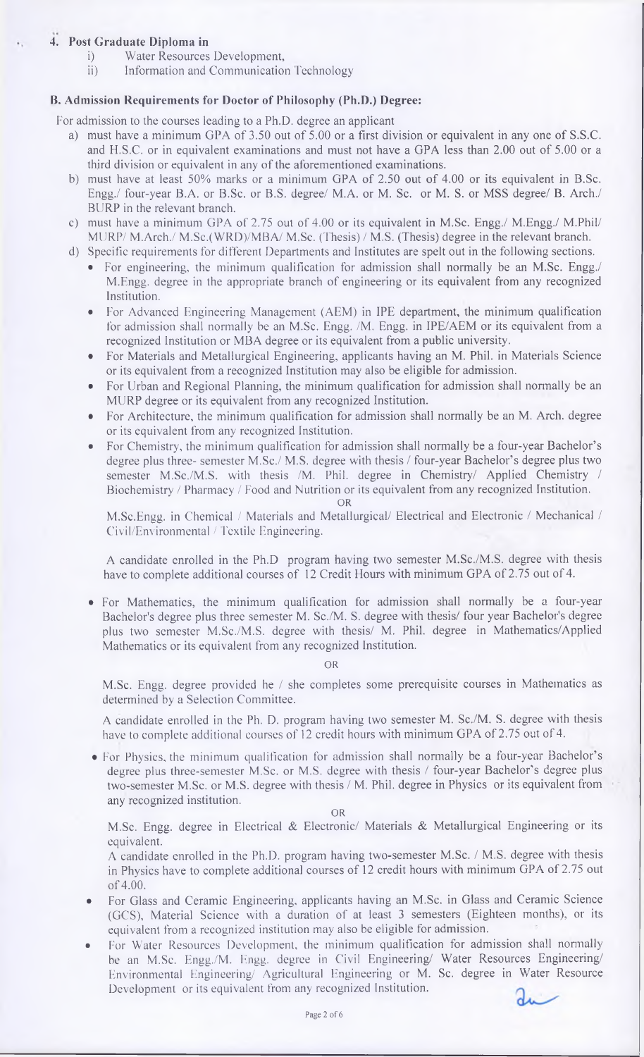# **4. Post Graduate Diploma in**

- i) Water Resources Development,
- ii) Information and Communication Technology

#### **B. Admission Requirements for Doctor of Philosophy (Ph.D.) Degree:**

For admission to the courses leading to a Ph.D. degree an applicant

- a) must have a minimum GPA of 3.50 out of 5.00 or a first division or equivalent in any one of S.S.C. and Fl.S.C. or in equivalent examinations and must not have a GPA less than 2.00 out of 5.00 or a third division or equivalent in any of the aforementioned examinations.
- b) must have at least 50% marks or a minimum GPA of 2.50 out of 4.00 or its equivalent in B.Sc. Engg./ four-year B.A. or B.Sc. or B.S. degree/ M.A. or M. Sc. or M. S. or MSS degree/ B. Arch./ BURP in the relevant branch.
- c) must have a minimum GPA of 2.75 out of 4.00 or its equivalent in M.Sc. Engg./ M.Engg./ M.Phil/ MIJRP/ M.Arch./ M.Sc.(WRD)/MBA/ M.Sc. (Thesis) / M.S. (Thesis) degree in the relevant branch.
- d) Specific requirements for different Departments and Institutes are spelt out in the following sections.
	- For engineering, the minimum qualification for admission shall normally be an M.Sc. Engg./ M.Engg. degree in the appropriate branch of engineering or its equivalent from any recognized Institution.
	- For Advanced Engineering Management (AEM) in IPE department, the minimum qualification for admission shall normally be an M.Sc. Engg. /M. Engg. in IPE/AEM or its equivalent from a recognized Institution or MBA degree or its equivalent from a public university.
	- For Materials and Metallurgical Engineering, applicants having an M. Phil, in Materials Science or its equivalent from a recognized Institution may also be eligible for admission.
	- For Urban and Regional Planning, the minimum qualification for admission shall nonnally be an MURP degree or its equivalent from any recognized Institution.
	- For Architecture, the minimum qualification for admission shall normally be an M. Arch, degree or its equivalent from any recognized Institution.
	- For Chemistry, the minimum qualification for admission shall normally be a four-year Bachelor's degree plus three- semester M.Sc./ M.S. degree with thesis / four-year Bachelor's degree plus two semester M.Sc./M.S. with thesis /M. Phil, degree in Chemistry/ Applied Chemistry / Biochemistry / Pharmacy / Food and Nutrition or its equivalent from any recognized Institution. **OR**

M.Sc.Engg. in Chemical / Materials and Metallurgical/ Electrical and Electronic / Mechanical / Civil/Environmental / Textile Engineering.

A candidate enrolled in the Ph.D program having two semester M.Sc./M.S. degree with thesis have to complete additional courses of 12 Credit Hours with minimum GPA of 2.75 out of 4.

• For Mathematics, the minimum qualification for admission shall normally be a four-year Bachelor's degree plus three semester M. Sc./M. S. degree with thesis/ four year Bachelor's degree plus two semester M.Sc./M.S. degree with thesis/ M. Phil, degree in Mathematics/Applied Mathematics or its equivalent from any recognized Institution.

#### **OR**

M.Sc. Engg. degree provided he / she completes some prerequisite courses in Mathematics as determined by a Selection Committee.

A candidate enrolled in the Ph. D. program having two semester M. Sc./M. S. degree with thesis have to complete additional courses of 12 credit hours with minimum GPA of 2.75 out of 4.

• For Physics, the minimum qualification for admission shall normally be a four-year Bachelor's degree plus three-semester M.Sc. or M.S. degree with thesis / four-year Bachelor's degree plus two-semester M.Sc. or M.S. degree with thesis / M. Phil, degree in Physics or its equivalent from any recognized institution.

**OR**

M.Sc. Engg. degree in Electrical & Electronic/ Materials & Metallurgical Engineering or its equivalent.

A candidate enrolled in the Ph.D. program having two-semester M.Sc. / M.S. degree with thesis in Physics have to complete additional courses of 12 credit hours with minimum GPA of 2.75 out of 4.00.

- For Glass and Ceramic Engineering, applicants having an M.Sc. in Glass and Ceramic Science (GCS), Material Science with a duration of at least 3 semesters (Eighteen months), or its equivalent from a recognized institution may also be eligible for admission.
- For Water Resources Development, the minimum qualification for admission shall normally be an M.Sc. Engg./M. Engg. degree in Civil Engineering/ Water Resources Engineering/ Environmental Engineering/ Agricultural Engineering or M. Sc. degree in Water Resource Development or its equivalent from any recognized Institution.

de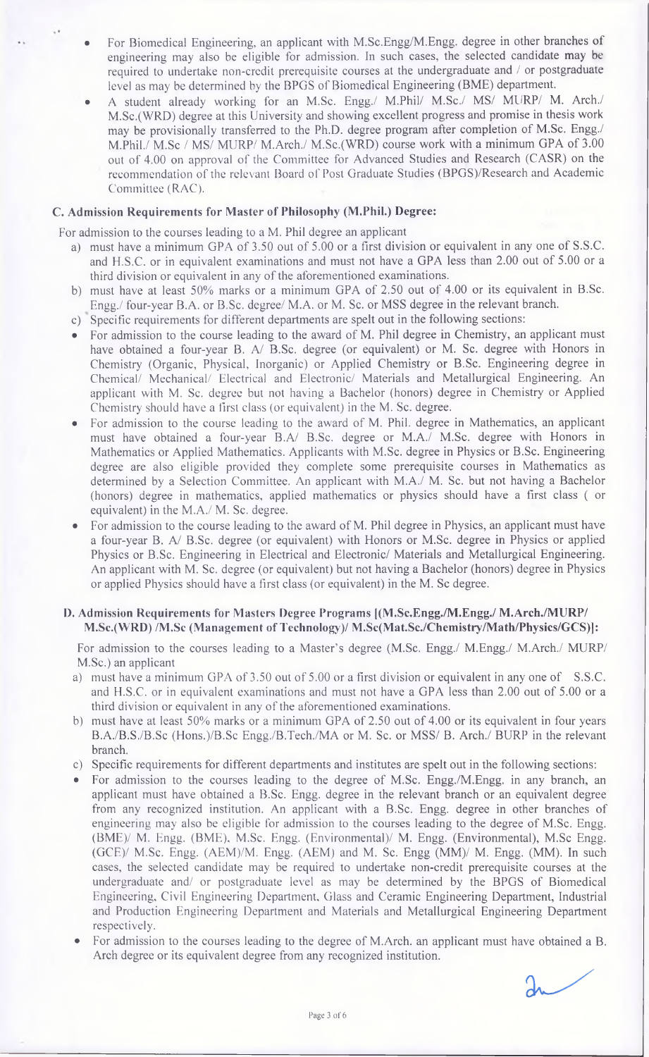- For Biomedical Engineering, an applicant with M.Sc.Engg/M.Engg. degree in other branches of engineering may also be eligible for admission. In such cases, the selected candidate may be required to undertake non-credit prerequisite courses at the undergraduate and / or postgraduate level as may be determined by the BPGS of Biomedical Engineering (BME) department.
- A student already working for an M.Sc. Engg./ M.Phil/ M.Sc./ MS/ MURP/ M. Arch./ M.Sc.(WRD) degree at this University and showing excellent progress and promise in thesis work may be provisionally transferred to the Ph.D. degree program after completion of M.Sc. Engg./ M.Phil./ M.Sc / MS/ MURP/ M.Arch./ M.Sc.(WRD) course work with a minimum GPA of 3.00 out of 4.00 on approval of the Committee for Advanced Studies and Research (CASR) on the recommendation of the relevant Board of Post Graduate Studies (BPGS)/Research and Academic Committee (RAC).

#### **C. Admission Requirements for Master of Philosophy (M.Phil.) Degree:**

For admission to the courses leading to a M. Phil degree an applicant

- a) must have a minimum GPA of 3.50 out of 5.00 or a first division or equivalent in any one of S.S.C. and H.S.C. or in equivalent examinations and must not have a GPA less than 2.00 out of 5.00 or a third division or equivalent in any of the aforementioned examinations.
- b) must have at least 50% marks or a minimum GPA of 2.50 out of 4.00 or its equivalent in B.Sc. Engg./ four-year B.A. or B.Sc. degree/ M.A. or M. Sc. or MSS degree in the relevant branch.
- c) Specific requirements for different departments are spelt out in the following sections:
- For admission to the course leading to the award of M. Phil degree in Chemistry, an applicant must have obtained a four-year B. A/ B.Sc. degree (or equivalent) or M. Sc. degree with Honors in Chemistry (Organic, Physical, Inorganic) or Applied Chemistry or B.Sc. Engineering degree in Chemical/ Mechanical/ Electrical and Electronic/ Materials and Metallurgical Engineering. An applicant with M. Sc. degree but not having a Bachelor (honors) degree in Chemistry or Applied Chemistry should have a first class (or equivalent) in the M. Sc. degree.
- For admission to the course leading to the award of M. Phil, degree in Mathematics, an applicant must have obtained a four-year B.A/ B.Sc. degree or M.A./ M.Sc. degree with Honors in Mathematics or Applied Mathematics. Applicants with M.Sc. degree in Physics or B.Sc. Engineering degree are also eligible provided they complete some prerequisite courses in Mathematics as determined by a Selection Committee. An applicant with M.A./ M. Sc. but not having a Bachelor (honors) degree in mathematics, applied mathematics or physics should have a first class ( or equivalent) in the M.A./ M. Sc. degree.
- For admission to the eourse leading to the award of M. Phil degree in Physics, an applicant must have a four-year B. *AJ* B.Sc. degree (or equivalent) with Honors or M.Sc. degree in Physics or applied Physics or B.Sc. Engineering in Electrical and Electronic/ Materials and Metallurgical Engineering. An applicant with M. Sc. degree (or equivalent) but not having a Bachelor (honors) degree in Physics or applied Physics should have a first class (or equivalent) in the M. Sc degree.

#### **I). Admission Requirements for Masters Degree Programs |(M.Sc.Engg./M.Engg./ M.Arch./MURP/ M.Se.(WRD) /M.Sc (Management of Technology)/ M.Sc(Mat.Sc./Chemistry/Math/Physics/GCS)]:**

For admission to the courses leading to a Master's degree (M.Sc. Engg./ M.Engg./ M.Arch./ MURP/ M.Sc.) an applicant

- a) must have a minimum GPA of 3.50 out of 5.00 or a first division or equivalent in any one of S.S.C. and H.S.C. or in equivalent examinations and must not have a GPA less than 2.00 out of 5.00 or a third division or equivalent in any of the aforementioned examinations.
- b) must have at least 50% marks or a minimum GPA of 2.50 out of 4.00 or its equivalent in four years B.A./B.S./B.Sc (Hons.)/B.Sc Engg./B.Tech./MA or M. Sc. or MSS/ B. Arch./ BURP in the relevant branch.
- c) Specific requirements for different departments and institutes are spelt out in the following sections:
- For admission to the courses leading to the degree of M.Sc. Engg./M.Engg. in any branch, an applicant must have obtained a B.Sc. Engg. degree in the relevant branch or an equivalent degree from any recognized institution. An applicant with a B.Sc. Engg. degree in other branches of engineering may also be eligible for admission to the courses leading to the degree of M.Sc. Engg. (BME)/ M. Engg. (BME), M.Sc. Engg. (Environmental)/ M. Engg. (Environmental), M.Sc Engg. (GCE)/ M.Sc. Engg. (AEM)/M. Engg. (AEM) and M. Sc. Engg (MM)/ M. Engg. (MM). In such cases, the selected candidate may be required to undertake non-eredit prerequisite courses at the undergraduate and/ or postgraduate level as may be determined by the BPGS of Biomedical Engineering, Civil Engineering Department, Glass and Ceramic Engineering Department, Industrial and Production Engineering Department and Materials and Metallurgical Engineering Department respectively.
- For admission to the courses leading to the degree of M.Arch. an applicant must have obtained a B. Arch degree or its equivalent degree from any recognized institution.

 $\mathfrak{g}$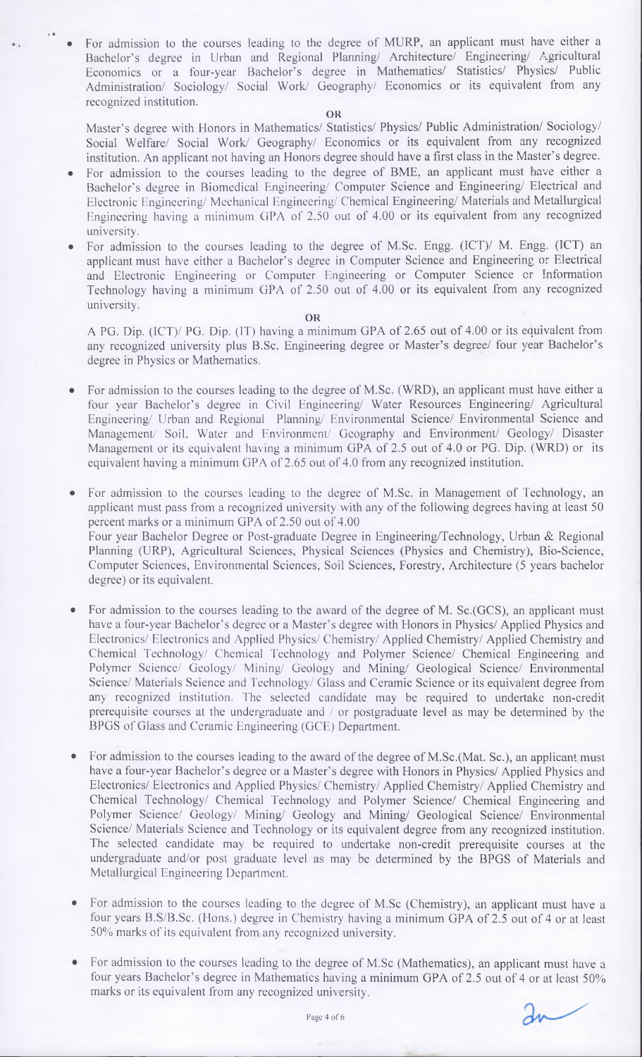• For admission to the courses leading to the degree of MURP, an applicant must have either a Bachelor's degree in Urban and Regional Planning/ Architecture/ Fmgineering/ Agricultural Economics or a four-year Bachelor's degree in Mathematics/ Statistics/ Physics/ Public Administration/ Sociology/ Social Work/ Geography/ Economics or its equivalent from any recognized institution.

#### OR

Master's degree with Honors in Mathematics/ Statistics/ Physics/ Public Administration/ Sociology/ Social Welfare/ Social Work/ Geography/ Economics or its equivalent from any recognized institution. An applicant not having an Honors degree should have a first class in the Master's degree.

- For admission to the courses leading to the degree of BME, an applicant must have either a Bachelor's degree in Biomedical Fmgineering/ Computer Science and Engineering/ Electrical and Electronic Engineering/ Mechanical Engineering/ Chemical Engineering/ Materials and Metallurgical Engineering having a minimum GPA of 2.50 out of 4.00 or its equivalent from any recognized university.
- For admission to the courses leading to the degree of M.Sc. Engg. (ICT)/ M. Engg. (ICT) an applicant must have either a Bachelor's degree in Computer Science and Engineering or Electrical and Electronic Engineering or Computer Engineering or Computer Science or Information Technology having a minimum GPA of 2.50 out of 4.00 or its equivalent from any recognized university.

#### OR

A PG. Dip. (ICT)/ PG. Dip. (IT) having a minimum GPA of 2.65 out of 4.00 or its equivalent from any recognized university plus B.Sc. Engineering degree or Master's degree/ four year Bachelor's degree in Physics or Mathematics.

- For admission to the courses leading to the degree of M.Sc. (WRD), an applicant must have either a four year Bachelor's degree in Civil Engineering/ Water Resources Engineering/ Agricultural Engineering/ Urban and Regional Planning/ Environmental Science/ Environmental Science and Management/ Soil. Water and Environment/ Geography and Environment/ Geology/ Disaster Management or its equivalent having a minimum GPA of 2.5 out of 4.0 or PG. Dip. (WRD) or its equivalent having a minimum GPA of 2.65 out of 4.0 from any reeognized institution.
- For admission to the courses leading to the degree of M.Sc. in Management of Technology, an applicant must pass from a recognized university with any of the following degrees having at least 50 percent marks or a minimum GPA of 2.50 out of 4.00 Four year Baehelor Degree or Post-graduate Degree in Engineering/Technology, Urban & Regional Planning (URP), Agricultural Sciences, Physical Sciences (Physics and Chemistry), Bio-Science, Computer Sciences, Environmental Sciences, Soil Scienees, Forestry, Architeeture (5 years bachelor degree) or its equivalent.
- For admission to the eourses leading to the award of the degree of M. Sc.(GCS), an applicant must have a four-year Bachelor's degree or a Master's degree with Honors in Physics/ Applied Physics and Electronics/ Electronics and Applied Physics/ Chemistry/ Applied Chemistry/ Applied Chemistry and Chemical Technology/ Chemical Technology and Polymer Science/ Chemical Engineering and Polymer Science/ Geology/ Mining/ Geology and Mining/ Geological Science/ Environmental Science/ Materials Science and fechnology/ Glass and Ceramic Science or its equivalent degree from any recognized institution. The selected candidate may be required to undertake non-credit prerequisite courses at the undergraduate and / or postgraduate level as may be determined by the BPGS of Glass and Ceramic Engineering (GCE) Department.
- For admission to the courses leading to the award of the degree of M.Sc.(Mat. Sc.), an applicant must have a four-year Baehelor's degree or a Master's degree with Honors in Physics/ Applied Physics and Electronics/ Electronics and Applied Physics/ Chemistry/ Applied Chemistry/ Applied Chemistry and Chemical Technology/ Chemical Technology and Polymer Science/ Chemical Engineering and Polymer Science/ Geology/ Mining/ Geology and Mining/ Geological Science/ Environmental Science/ Materials Science and Technology or its equivalent degree from any recognized institution. The selected candidate may be required to undertake non-credit prerequisite courses at the undergraduate and/or post graduate level as may be determined by the BPGS of Materials and Metallurgical Engineering Department.
- For admission to the courses leading to the degree of M.Sc (Chemistry), an applicant must have a four years B.S/B.Sc. (Hons.) degree in Chemistry having a minimum GPA of 2.5 out of 4 or at least 50% marks of its equivalent from any recognized university.
- For admission to the courses leading to the degree of M.Sc (Mathematics), an applicant must have a four years Bachelor's degree in Mathematics having a minimum GPA of 2.5 out of 4 or at least 50% marks or its equivalent from any recognized university.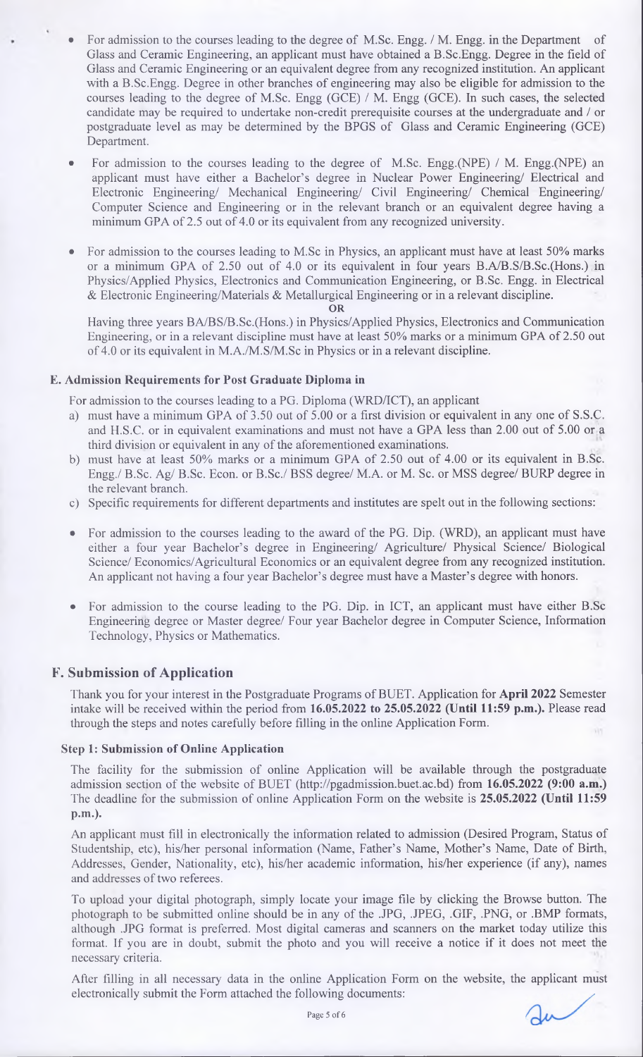- For admission to the courses leading to the degree of M.Sc. Engg. / M. Engg. in the Department of Glass and Ceramic Engineering, an applicant must have obtained a B.Sc.Engg. Degree in the field of Glass and Ceramic Engineering or an equivalent degree from any recognized institution. An applicant with a B.Sc.Engg. Degree in other branches of engineering may also be eligible for admission to the courses leading to the degree of M.Sc. Engg (GCE) / M. Engg (GCE). In such cases, the selected candidate may be required to undertake non-credit prerequisite courses at the undergraduate and / or postgraduate level as may be determined by the BPGS of Glass and Ceramic Engineering (GCE) Department.
- For admission to the courses leading to the degree of M.Sc. Engg.(NPE) / M. Engg.(NPE) an applicant must have either a Bachelor's degree in Nuclear Power Engineering/ Electrical and Electronic Engineering/ Mechanical Engineering/ Civil Engineering/ Chemical Engineering/ Computer Science and Engineering or in the relevant branch or an equivalent degree having a minimum GPA of 2.5 out of 4.0 or its equivalent from any recognized university.
- For admission to the courses leading to M.Sc in Physics, an applicant must have at least 50% marks or a minimum GPA of 2.50 out of 4.0 or its equivalent in four years B.A/B.S/B.Sc.(Hons.) in Physics/Applied Physics, Electronics and Communication Engineering, or B.Sc. Engg. in Electrical & Electronic Engineering/Materials & Metallurgical Engineering or in a relevant discipline. OR

Having three years BA/BS/B.Sc.(Hons.) in Physics/Applied Physics, Electronics and Communication Engineering, or in a relevant discipline must have at least 50% marks or a minimum GPA of 2.50 out of 4.0 or its equivalent in M.A./M.S/M.Sc in Physics or in a relevant discipline.

#### **E. Admission Requirements for Post Graduate Diploma in**

For admission to the courses leading to a PG. Diploma (WRD/ICT), an applicant

- a) must have a minimum GPA of 3.50 out of 5.00 or a first division or equivalent in any one of S.S.C. and H.S.C. or in equivalent examinations and must not have a GPA less than 2.00 out of 5.00 or a third division or equivalent in any of the aforementioned examinations.
- b) must have at least 50% marks or a minimum GPA of 2.50 out of 4.00 or its equivalent in B.Sc. Engg./ B.Sc. Ag/ B.Sc. Econ. or B.Sc./ BSS degree/ M.A. or M. Sc. or MSS degree/ BURP degree in the relevant branch.
- c) Specific requirements for different departments and institutes are spelt out in the following sections:
- For admission to the courses leading to the award of the PG. Dip. (WRD), an applicant must have either a four year Bachelor's degree in Engineering/ Agriculture/ Physical Science/ Biological Science/ Economics/Agricultural Economics or an equivalent degree from any recognized institution. An applicant not having a four year Bachelor's degree must have a Master's degree with honors.
- For admission to the course leading to the PG. Dip. in ICT, an applicant must have either B.Sc Engineering degree or Master degree/ Four year Bachelor degree in Computer Science, Information Technology, Physics or Mathematics.

## **F. Submission of Application**

Thank you for your interest in the Postgraduate Programs of BUET. Application for **April** 2022 Semester intake will be received within the period from 16.05.2022 **to** 25.05.2022 **(Until** 11:59 **p.m.).** Please read through the steps and notes carefully before filling in the online Application Form.

#### **Step 1: Submission of Online Application**

The facility for the submission of online Application will be available through the postgraduate admission section of the website of BUET [\(http://pgadmission.buet.ac.bd](http://pgadmission.buet.ac.bd)) from 16.05.2022 (9:00 a.m.) The deadline for the submission of online Application Form on the website is 25.05.2022 (Until 11:59 **p.m.).**

An applicant must fill in electronically the information related to admission (Desired Program, Status of Studentship, etc), his/her personal information (Name, Father's Name, Mother's Name, Date of Birth, Addresses, Gender, Nationality, etc), his/her academic information, his/her experience (if any), names and addresses of two referees.

To upload your digital photograph, simply locate your image file by clicking the Browse button. The photograph to be submitted online should be in any of the .JPG, .JPEG, .GIF, .PNG, or .BMP formats, although .JPG format is preferred. Most digital cameras and scanners on the market today utilize this format. If you are in doubt, submit the photo and you will receive a notice if it does not meet the necessary criteria.

After filling in all necessary data in the online Application Form on the website, the applicant must electronically submit the Form attached the following documents: